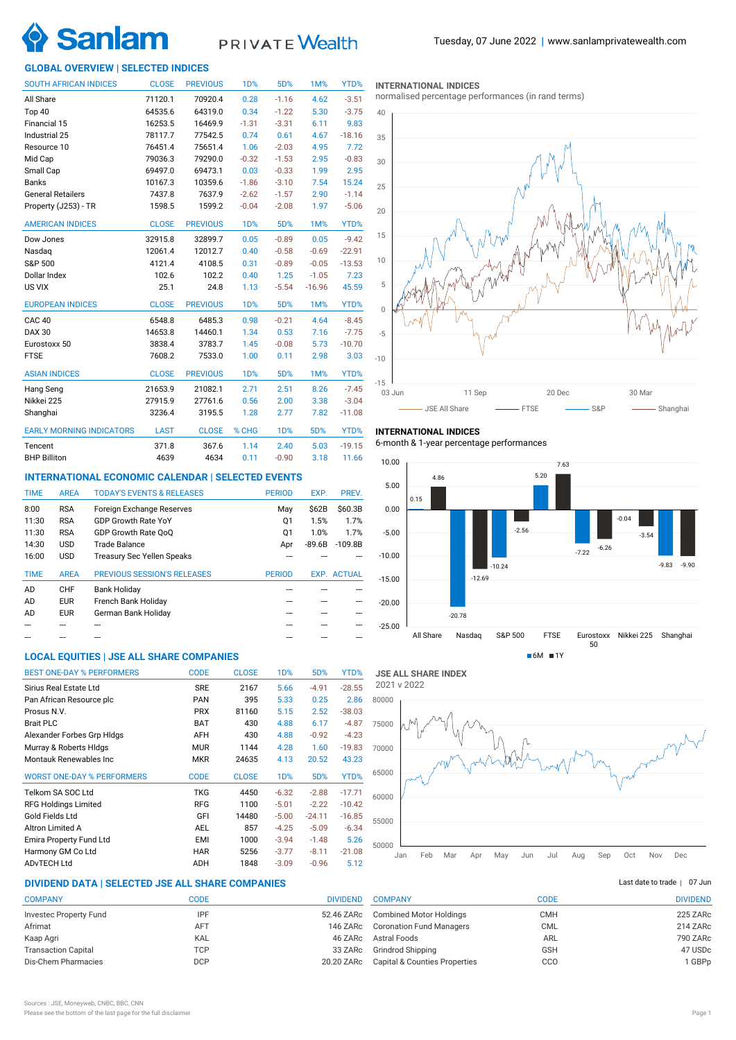

# PRIVATE Wealth

## **GLOBAL OVERVIEW | SELECTED INDICES**

| <b>SOUTH AFRICAN INDICES</b>    | <b>CLOSE</b> | <b>PREVIOUS</b> | <b>1D%</b>       | 5D%     | <b>1M%</b> | YTD%     |
|---------------------------------|--------------|-----------------|------------------|---------|------------|----------|
| All Share                       | 71120.1      | 70920.4         | 0.28             | $-1.16$ | 4.62       | $-3.51$  |
| Top 40                          | 64535.6      | 64319.0         | 0.34             | $-1.22$ | 5.30       | $-3.75$  |
| Financial 15                    | 16253.5      | 16469.9         | $-1.31$          | $-3.31$ | 6.11       | 9.83     |
| Industrial 25                   | 78117.7      | 77542.5         | 0.74             | 0.61    | 4.67       | $-18.16$ |
| Resource 10                     | 76451.4      | 75651.4         | 1.06             | $-2.03$ | 4.95       | 7.72     |
| Mid Cap                         | 79036.3      | 79290.0         | $-0.32$          | $-1.53$ | 2.95       | $-0.83$  |
| Small Cap                       | 69497.0      | 69473.1         | 0.03             | $-0.33$ | 1.99       | 2.95     |
| <b>Banks</b>                    | 10167.3      | 10359.6         | $-1.86$          | $-3.10$ | 7.54       | 15.24    |
| <b>General Retailers</b>        | 7437.8       | 7637.9          | $-2.62$          | $-1.57$ | 2.90       | $-1.14$  |
| Property (J253) - TR            | 1598.5       | 1599.2          | $-0.04$          | $-2.08$ | 1.97       | $-5.06$  |
| <b>AMERICAN INDICES</b>         | <b>CLOSE</b> | <b>PREVIOUS</b> | <b>1D%</b>       | 5D%     | 1M%        | YTD%     |
| Dow Jones                       | 32915.8      | 32899.7         | 0.05             | $-0.89$ | 0.05       | $-9.42$  |
| Nasdaq                          | 12061.4      | 12012.7         | 0.40             | $-0.58$ | $-0.69$    | $-22.91$ |
| S&P 500                         | 4121.4       | 4108.5          | 0.31             | $-0.89$ | $-0.05$    | $-13.53$ |
| Dollar Index                    | 102.6        | 102.2           | 0.40             | 1.25    | $-1.05$    | 7.23     |
| US VIX                          | 25.1         | 24.8            | 1.13             | $-5.54$ | $-16.96$   | 45.59    |
| <b>EUROPEAN INDICES</b>         | <b>CLOSE</b> | <b>PREVIOUS</b> | 1 <sub>D</sub> % | 5D%     | 1M%        | YTD%     |
| CAC <sub>40</sub>               | 6548.8       | 6485.3          | 0.98             | $-0.21$ | 4.64       | $-8.45$  |
| <b>DAX 30</b>                   | 14653.8      | 14460.1         | 1.34             | 0.53    | 7.16       | $-7.75$  |
| Eurostoxx 50                    | 3838.4       | 3783.7          | 1.45             | $-0.08$ | 5.73       | $-10.70$ |
| <b>FTSE</b>                     | 7608.2       | 7533.0          | 1.00             | 0.11    | 2.98       | 3.03     |
| <b>ASIAN INDICES</b>            | <b>CLOSE</b> | <b>PREVIOUS</b> | 1D%              | 5D%     | 1M%        | YTD%     |
| Hang Seng                       | 21653.9      | 21082.1         | 2.71             | 2.51    | 8.26       | $-7.45$  |
| Nikkei 225                      | 27915.9      | 27761.6         | 0.56             | 2.00    | 3.38       | $-3.04$  |
| Shanghai                        | 3236.4       | 3195.5          | 1.28             | 2.77    | 7.82       | $-11.08$ |
| <b>EARLY MORNING INDICATORS</b> | <b>LAST</b>  | <b>CLOSE</b>    | % CHG            | 1D%     | 5D%        | YTD%     |
| Tencent                         | 371.8        | 367.6           | 1.14             | 2.40    | 5.03       | $-19.15$ |
| <b>BHP Billiton</b>             | 4639         | 4634            | 0.11             | $-0.90$ | 3.18       | 11.66    |

## **INTERNATIONAL ECONOMIC CALENDAR | SELECTED EVENTS**

| <b>TIME</b> | <b>AREA</b> | <b>TODAY'S EVENTS &amp; RELEASES</b> | <b>PERIOD</b> | EXP.     | PREV.              |
|-------------|-------------|--------------------------------------|---------------|----------|--------------------|
| 8:00        | <b>RSA</b>  | Foreign Exchange Reserves            | May           | \$62B    | \$60.3B            |
| 11:30       | <b>RSA</b>  | <b>GDP Growth Rate YoY</b>           | Q1            | 1.5%     | 1.7%               |
| 11:30       | <b>RSA</b>  | GDP Growth Rate OoO                  | Q1            | 1.0%     | 1.7%               |
| 14:30       | <b>USD</b>  | Trade Balance                        | Apr           | $-89.6B$ | $-109.8B$          |
| 16:00       | <b>USD</b>  | <b>Treasury Sec Yellen Speaks</b>    |               |          |                    |
|             |             |                                      |               |          |                    |
| <b>TIME</b> | <b>AREA</b> | <b>PREVIOUS SESSION'S RELEASES</b>   | <b>PERIOD</b> |          | <b>EXP. ACTUAL</b> |
| AD          | CHF         | <b>Bank Holiday</b>                  |               |          |                    |
| AD          | <b>EUR</b>  | French Bank Holiday                  |               |          |                    |
| AD          | <b>EUR</b>  | German Bank Holiday                  |               |          |                    |
|             |             |                                      |               |          |                    |

## **LOCAL EQUITIES | JSE ALL SHARE COMPANIES**

| <b>BEST ONE-DAY % PERFORMERS</b>  | <b>CODE</b> | <b>CLOSE</b> | 1 <sub>D</sub> % | 5D%      | YTD%     |
|-----------------------------------|-------------|--------------|------------------|----------|----------|
| Sirius Real Estate Ltd            | <b>SRE</b>  | 2167         | 5.66             | $-4.91$  | $-28.55$ |
| Pan African Resource plc          | <b>PAN</b>  | 395          | 5.33             | 0.25     | 2.86     |
| Prosus N.V.                       | <b>PRX</b>  | 81160        | 5.15             | 2.52     | $-38.03$ |
| <b>Brait PLC</b>                  | <b>BAT</b>  | 430          | 4.88             | 6.17     | $-4.87$  |
| Alexander Forbes Grp Hidgs        | AFH         | 430          | 4.88             | $-0.92$  | $-4.23$  |
| Murray & Roberts HIdgs            | <b>MUR</b>  | 1144         | 4.28             | 1.60     | $-19.83$ |
| Montauk Renewables Inc            | <b>MKR</b>  | 24635        | 4.13             | 20.52    | 43.23    |
| <b>WORST ONE-DAY % PERFORMERS</b> | <b>CODE</b> | <b>CLOSE</b> | 1 <sub>D</sub> % | 5D%      | YTD%     |
| Telkom SA SOC Ltd                 | TKG         | 4450         | $-6.32$          | $-2.88$  | $-17.71$ |
| <b>RFG Holdings Limited</b>       | <b>RFG</b>  | 1100         | $-5.01$          | $-2.22$  | $-10.42$ |
| Gold Fields Ltd                   | GFI         | 14480        | $-5.00$          | $-24.11$ | $-16.85$ |
| Altron Limited A                  | <b>AEL</b>  | 857          | $-4.25$          | $-5.09$  | $-6.34$  |
| Emira Property Fund Ltd           | EMI         | 1000         | $-3.94$          | $-1.48$  | 5.26     |
| Harmony GM Co Ltd                 | <b>HAR</b>  | 5256         | $-3.77$          | $-8.11$  | $-21.08$ |
| <b>ADvTECH Ltd</b>                | <b>ADH</b>  | 1848         | $-3.09$          | $-0.96$  | 5.12     |

## **DIVIDEND DATA | SELECTED JSE ALL SHARE COMPANIES |**

| <b>COMPANY</b>             | CODE       | <b>DIVIDEND</b> |
|----------------------------|------------|-----------------|
| Investec Property Fund     | IPF        | 52.46 ZARc      |
| Afrimat                    | <b>AFT</b> | 146 ZARc        |
| Kaap Agri                  | KAL        | 46 ZARc         |
| <b>Transaction Capital</b> | TCP        | 33 ZARc         |
| Dis-Chem Pharmacies        | <b>DCP</b> | 20.20 ZARc      |
|                            |            |                 |

### **INTERNATIONAL INDICES**

normalised percentage performances (in rand terms)



## **INTERNATIONAL INDICES**

6-month & 1-year percentage performances





## Last date to trade  $|$  07 Jun

| <b>COMPANY</b>                  | CODE       | <b>DIVIDEND</b> |
|---------------------------------|------------|-----------------|
| <b>Combined Motor Holdings</b>  | <b>CMH</b> | 225 ZARc        |
| <b>Coronation Fund Managers</b> | <b>CML</b> | 214 ZARc        |
| Astral Foods                    | ARL        | 790 ZARc        |
| <b>Grindrod Shipping</b>        | <b>GSH</b> | 47 USDc         |
| Capital & Counties Properties   | CCO        | 1 GBPp          |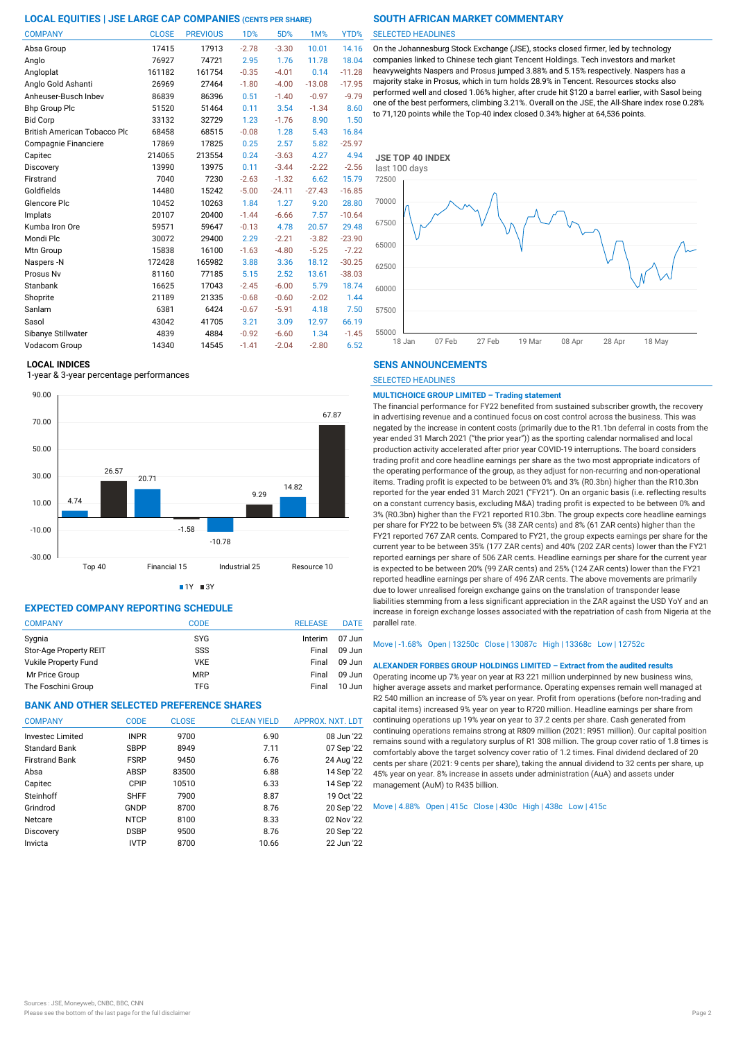| <b>COMPANY</b>               | <b>CLOSE</b> | <b>PREVIOUS</b> | 1D%     | 5D%      | 1M%      | YTD%     |
|------------------------------|--------------|-----------------|---------|----------|----------|----------|
| Absa Group                   | 17415        | 17913           | $-2.78$ | $-3.30$  | 10.01    | 14.16    |
| Anglo                        | 76927        | 74721           | 2.95    | 1.76     | 11.78    | 18.04    |
| Angloplat                    | 161182       | 161754          | $-0.35$ | $-4.01$  | 0.14     | $-11.28$ |
| Anglo Gold Ashanti           | 26969        | 27464           | $-1.80$ | $-4.00$  | $-13.08$ | $-17.95$ |
| Anheuser-Busch Inbev         | 86839        | 86396           | 0.51    | $-1.40$  | $-0.97$  | $-9.79$  |
| <b>Bhp Group Plc</b>         | 51520        | 51464           | 0.11    | 3.54     | $-1.34$  | 8.60     |
| <b>Bid Corp</b>              | 33132        | 32729           | 1.23    | $-1.76$  | 8.90     | 1.50     |
| British American Tobacco Plo | 68458        | 68515           | $-0.08$ | 1.28     | 5.43     | 16.84    |
| Compagnie Financiere         | 17869        | 17825           | 0.25    | 2.57     | 5.82     | $-25.97$ |
| Capitec                      | 214065       | 213554          | 0.24    | $-3.63$  | 4.27     | 4.94     |
| Discovery                    | 13990        | 13975           | 0.11    | $-3.44$  | $-2.22$  | $-2.56$  |
| Firstrand                    | 7040         | 7230            | $-2.63$ | $-1.32$  | 6.62     | 15.79    |
| Goldfields                   | 14480        | 15242           | $-5.00$ | $-24.11$ | $-27.43$ | $-16.85$ |
| Glencore Plc                 | 10452        | 10263           | 1.84    | 1.27     | 9.20     | 28.80    |
| Implats                      | 20107        | 20400           | $-1.44$ | $-6.66$  | 7.57     | $-10.64$ |
| Kumba Iron Ore               | 59571        | 59647           | $-0.13$ | 4.78     | 20.57    | 29.48    |
| Mondi Plc                    | 30072        | 29400           | 2.29    | $-2.21$  | $-3.82$  | $-23.90$ |
| Mtn Group                    | 15838        | 16100           | $-1.63$ | $-4.80$  | $-5.25$  | $-7.22$  |
| Naspers-N                    | 172428       | 165982          | 3.88    | 3.36     | 18.12    | $-30.25$ |
| Prosus Nv                    | 81160        | 77185           | 5.15    | 2.52     | 13.61    | $-38.03$ |
| Stanbank                     | 16625        | 17043           | $-2.45$ | $-6.00$  | 5.79     | 18.74    |
| Shoprite                     | 21189        | 21335           | $-0.68$ | $-0.60$  | $-2.02$  | 1.44     |
| Sanlam                       | 6381         | 6424            | $-0.67$ | $-5.91$  | 4.18     | 7.50     |
| Sasol                        | 43042        | 41705           | 3.21    | 3.09     | 12.97    | 66.19    |
| Sibanye Stillwater           | 4839         | 4884            | $-0.92$ | $-6.60$  | 1.34     | $-1.45$  |
| Vodacom Group                | 14340        | 14545           | $-1.41$ | $-2.04$  | $-2.80$  | 6.52     |

## **LOCAL INDICES**

1-year & 3-year percentage performances



 $1Y = 3Y$ 

## **EXPECTED COMPANY REPORTING SCHEDULE**

| <b>COMPANY</b>         | CODE       | <b>RELEASE</b> | <b>DATE</b> |
|------------------------|------------|----------------|-------------|
| Sygnia                 | <b>SYG</b> | Interim        | $07$ Jun    |
| Stor-Age Property REIT | SSS        | Final          | $09$ Jun    |
| Vukile Property Fund   | <b>VKE</b> | Final          | $09$ Jun    |
| Mr Price Group         | <b>MRP</b> | Final          | $09$ Jun    |
| The Foschini Group     | <b>TFG</b> | Final          | $10$ Jun    |

## **BANK AND OTHER SELECTED PREFERENCE SHARES**

| <b>COMPANY</b>          | <b>CODE</b> | <b>CLOSE</b> | <b>CLEAN YIELD</b> | APPROX. NXT. LDT |
|-------------------------|-------------|--------------|--------------------|------------------|
| <b>Investec Limited</b> | <b>INPR</b> | 9700         | 6.90               | 08 Jun '22       |
| <b>Standard Bank</b>    | <b>SBPP</b> | 8949         | 7.11               | 07 Sep '22       |
| <b>Firstrand Bank</b>   | <b>FSRP</b> | 9450         | 6.76               | 24 Aug '22       |
| Absa                    | ABSP        | 83500        | 6.88               | 14 Sep '22       |
| Capitec                 | CPIP        | 10510        | 6.33               | 14 Sep '22       |
| Steinhoff               | <b>SHFF</b> | 7900         | 8.87               | 19 Oct '22       |
| Grindrod                | GNDP        | 8700         | 8.76               | 20 Sep '22       |
| Netcare                 | <b>NTCP</b> | 8100         | 8.33               | 02 Nov '22       |
| Discovery               | <b>DSBP</b> | 9500         | 8.76               | 20 Sep '22       |
| Invicta                 | <b>IVTP</b> | 8700         | 10.66              | 22 Jun '22       |
|                         |             |              |                    |                  |

### SELECTED HEADLINES

On the Johannesburg Stock Exchange (JSE), stocks closed firmer, led by technology companies linked to Chinese tech giant Tencent Holdings. Tech investors and market heavyweights Naspers and Prosus jumped 3.88% and 5.15% respectively. Naspers has a majority stake in Prosus, which in turn holds 28.9% in Tencent. Resources stocks also performed well and closed 1.06% higher, after crude hit \$120 a barrel earlier, with Sasol being one of the best performers, climbing 3.21%. Overall on the JSE, the All-Share index rose 0.28% to 71,120 points while the Top-40 index closed 0.34% higher at 64,536 points.



## **SENS ANNOUNCEMENTS**

SELECTED HEADLINES

## **MULTICHOICE GROUP LIMITED – Trading statement**

The financial performance for FY22 benefited from sustained subscriber growth, the recovery in advertising revenue and a continued focus on cost control across the business. This was negated by the increase in content costs (primarily due to the R1.1bn deferral in costs from the year ended 31 March 2021 ("the prior year")) as the sporting calendar normalised and local production activity accelerated after prior year COVID-19 interruptions. The board considers trading profit and core headline earnings per share as the two most appropriate indicators of the operating performance of the group, as they adjust for non-recurring and non-operational items. Trading profit is expected to be between 0% and 3% (R0.3bn) higher than the R10.3bn reported for the year ended 31 March 2021 ("FY21"). On an organic basis (i.e. reflecting results on a constant currency basis, excluding M&A) trading profit is expected to be between 0% and 3% (R0.3bn) higher than the FY21 reported R10.3bn. The group expects core headline earnings per share for FY22 to be between 5% (38 ZAR cents) and 8% (61 ZAR cents) higher than the FY21 reported 767 ZAR cents. Compared to FY21, the group expects earnings per share for the current year to be between 35% (177 ZAR cents) and 40% (202 ZAR cents) lower than the FY21 reported earnings per share of 506 ZAR cents. Headline earnings per share for the current year is expected to be between 20% (99 ZAR cents) and 25% (124 ZAR cents) lower than the FY21 reported headline earnings per share of 496 ZAR cents. The above movements are primarily due to lower unrealised foreign exchange gains on the translation of transponder lease liabilities stemming from a less significant appreciation in the ZAR against the USD YoY and an increase in foreign exchange losses associated with the repatriation of cash from Nigeria at the parallel rate.

### Move | -1.68% Open | 13250c Close | 13087c High | 13368c Low | 12752c

### **ALEXANDER FORBES GROUP HOLDINGS LIMITED – Extract from the audited results**

Operating income up 7% year on year at R3 221 million underpinned by new business wins, higher average assets and market performance. Operating expenses remain well managed at R2 540 million an increase of 5% year on year. Profit from operations (before non-trading and capital items) increased 9% year on year to R720 million. Headline earnings per share from continuing operations up 19% year on year to 37.2 cents per share. Cash generated from continuing operations remains strong at R809 million (2021: R951 million). Our capital position remains sound with a regulatory surplus of R1 308 million. The group cover ratio of 1.8 times is comfortably above the target solvency cover ratio of 1.2 times. Final dividend declared of 20 cents per share (2021: 9 cents per share), taking the annual dividend to 32 cents per share, up 45% year on year. 8% increase in assets under administration (AuA) and assets under management (AuM) to R435 billion.

### Move | 4.88% Open | 415c Close | 430c High | 438c Low | 415c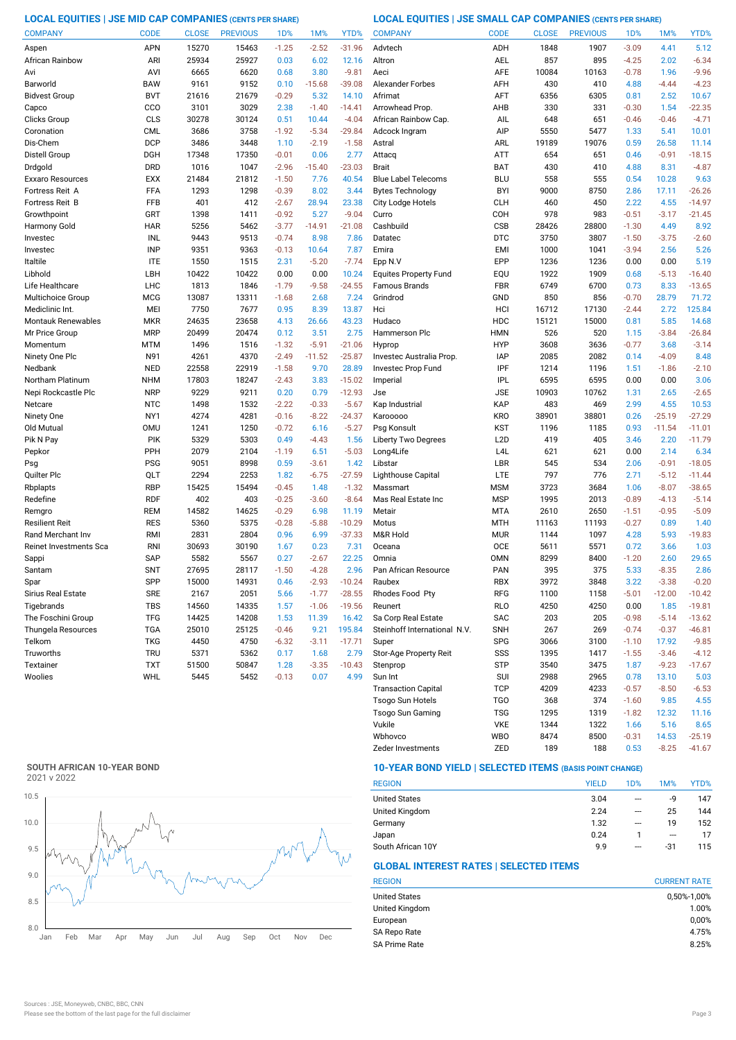**LOCAL EQUITIES | JSE MID CAP COMPANIES (CENTS PER SHARE) LOCAL EQUITIES | JSE SMALL CAP COMPANIES (CENTS PER SHARE)**

| <b>COMPANY</b>            | <b>CODE</b> | <b>CLOSE</b> | <b>PREVIOUS</b> | 1 <sub>D</sub> % | 1M%      | YTD%     | <b>COMPANY</b>               | <b>CODE</b>      | <b>CLOSE</b> | <b>PREVIOUS</b> | 1D%     | 1M%      | YTD%     |
|---------------------------|-------------|--------------|-----------------|------------------|----------|----------|------------------------------|------------------|--------------|-----------------|---------|----------|----------|
| Aspen                     | APN         | 15270        | 15463           | $-1.25$          | $-2.52$  | $-31.96$ | Advtech                      | ADH              | 1848         | 1907            | $-3.09$ | 4.41     | 5.12     |
| African Rainbow           | ARI         | 25934        | 25927           | 0.03             | 6.02     | 12.16    | Altron                       | AEL              | 857          | 895             | $-4.25$ | 2.02     | $-6.34$  |
| Avi                       | AVI         | 6665         | 6620            | 0.68             | 3.80     | $-9.81$  | Aeci                         | <b>AFE</b>       | 10084        | 10163           | $-0.78$ | 1.96     | $-9.96$  |
| Barworld                  | <b>BAW</b>  | 9161         | 9152            | 0.10             | $-15.68$ | $-39.08$ | <b>Alexander Forbes</b>      | AFH              | 430          | 410             | 4.88    | $-4.44$  | $-4.23$  |
| <b>Bidvest Group</b>      | <b>BVT</b>  | 21616        | 21679           | $-0.29$          | 5.32     | 14.10    | Afrimat                      | AFT              | 6356         | 6305            | 0.81    | 2.52     | 10.67    |
| Capco                     | CCO         | 3101         | 3029            | 2.38             | $-1.40$  | $-14.41$ | Arrowhead Prop               | AHB              | 330          | 331             | $-0.30$ | 1.54     | $-22.35$ |
| Clicks Group              | CLS         | 30278        | 30124           | 0.51             | 10.44    | $-4.04$  | African Rainbow Cap.         | AIL              | 648          | 651             | $-0.46$ | $-0.46$  | $-4.71$  |
| Coronation                | <b>CML</b>  | 3686         | 3758            | $-1.92$          | $-5.34$  | $-29.84$ | Adcock Ingram                | AIP              | 5550         | 5477            | 1.33    | 5.41     | 10.01    |
| Dis-Chem                  | <b>DCP</b>  | 3486         | 3448            | 1.10             | $-2.19$  | $-1.58$  | Astral                       | ARL              | 19189        | 19076           | 0.59    | 26.58    | 11.14    |
| Distell Group             | DGH         | 17348        | 17350           | $-0.01$          | 0.06     | 2.77     | Attacq                       | <b>ATT</b>       | 654          | 651             | 0.46    | $-0.91$  | $-18.15$ |
| Drdgold                   | <b>DRD</b>  | 1016         | 1047            | $-2.96$          | $-15.40$ | $-23.03$ | <b>Brait</b>                 | <b>BAT</b>       | 430          | 410             | 4.88    | 8.31     | $-4.87$  |
| Exxaro Resources          | <b>EXX</b>  | 21484        | 21812           | $-1.50$          | 7.76     | 40.54    | <b>Blue Label Telecoms</b>   | <b>BLU</b>       | 558          | 555             | 0.54    | 10.28    | 9.63     |
| Fortress Reit A           | FFA         | 1293         | 1298            | $-0.39$          | 8.02     | 3.44     | <b>Bytes Technology</b>      | <b>BYI</b>       | 9000         | 8750            | 2.86    | 17.11    | $-26.26$ |
| Fortress Reit B           | <b>FFB</b>  | 401          | 412             | $-2.67$          | 28.94    | 23.38    | City Lodge Hotels            | <b>CLH</b>       | 460          | 450             | 2.22    | 4.55     | $-14.97$ |
| Growthpoint               | GRT         | 1398         | 1411            | $-0.92$          | 5.27     | $-9.04$  | Curro                        | COH              | 978          | 983             | $-0.51$ | $-3.17$  | $-21.45$ |
| Harmony Gold              | <b>HAR</b>  | 5256         | 5462            | $-3.77$          | $-14.91$ | $-21.08$ | Cashbuild                    | <b>CSB</b>       | 28426        | 28800           | $-1.30$ | 4.49     | 8.92     |
| Investec                  | INL         | 9443         | 9513            | $-0.74$          | 8.98     | 7.86     | Datatec                      | <b>DTC</b>       | 3750         | 3807            | $-1.50$ | $-3.75$  | $-2.60$  |
| Investec                  | <b>INP</b>  | 9351         | 9363            | $-0.13$          | 10.64    | 7.87     | Emira                        | <b>EMI</b>       | 1000         | 1041            | $-3.94$ | 2.56     | 5.26     |
| Italtile                  | <b>ITE</b>  | 1550         | 1515            | 2.31             | $-5.20$  | $-7.74$  | Epp N.V                      | EPP              | 1236         | 1236            | 0.00    | 0.00     | 5.19     |
| Libhold                   | LBH         | 10422        | 10422           | 0.00             | 0.00     | 10.24    | <b>Equites Property Fund</b> | EQU              | 1922         | 1909            | 0.68    | $-5.13$  | $-16.40$ |
| Life Healthcare           | <b>LHC</b>  | 1813         | 1846            | $-1.79$          | $-9.58$  | $-24.55$ | Famous Brands                | <b>FBR</b>       | 6749         | 6700            | 0.73    | 8.33     | $-13.65$ |
| Multichoice Group         | <b>MCG</b>  | 13087        | 13311           | $-1.68$          | 2.68     | 7.24     | Grindrod                     | GND              | 850          | 856             | $-0.70$ | 28.79    | 71.72    |
| Mediclinic Int.           | MEI         | 7750         | 7677            | 0.95             | 8.39     | 13.87    | Hci                          | HCI              | 16712        | 17130           | $-2.44$ | 2.72     | 125.84   |
| <b>Montauk Renewables</b> | <b>MKR</b>  | 24635        | 23658           | 4.13             | 26.66    | 43.23    | Hudaco                       | HDC              | 15121        | 15000           | 0.81    | 5.85     | 14.68    |
| Mr Price Group            | <b>MRP</b>  | 20499        | 20474           | 0.12             | 3.51     | 2.75     | Hammerson Plc                | <b>HMN</b>       | 526          | 520             | 1.15    | $-3.84$  | $-26.84$ |
| Momentum                  | MTM         | 1496         | 1516            | $-1.32$          | $-5.91$  | $-21.06$ | Hyprop                       | <b>HYP</b>       | 3608         | 3636            | $-0.77$ | 3.68     | $-3.14$  |
| Ninety One Plc            | N91         | 4261         | 4370            | $-2.49$          | $-11.52$ | $-25.87$ | Investec Australia Prop.     | <b>IAP</b>       | 2085         | 2082            | 0.14    | $-4.09$  | 8.48     |
| Nedbank                   | <b>NED</b>  | 22558        | 22919           | $-1.58$          | 9.70     | 28.89    | Investec Prop Fund           | IPF              | 1214         | 1196            | 1.51    | $-1.86$  | $-2.10$  |
| Northam Platinum          | <b>NHM</b>  | 17803        | 18247           | $-2.43$          | 3.83     | $-15.02$ | Imperial                     | <b>IPL</b>       | 6595         | 6595            | 0.00    | 0.00     | 3.06     |
| Nepi Rockcastle Plc       | <b>NRP</b>  | 9229         | 9211            | 0.20             | 0.79     | $-12.93$ | Jse                          | <b>JSE</b>       | 10903        | 10762           | 1.31    | 2.65     | $-2.65$  |
| Netcare                   | <b>NTC</b>  | 1498         | 1532            | $-2.22$          | $-0.33$  | $-5.67$  | Kap Industrial               | KAP              | 483          | 469             | 2.99    | 4.55     | 10.53    |
| Ninety One                | NY1         | 4274         | 4281            | $-0.16$          | $-8.22$  | $-24.37$ | Karooooo                     | <b>KRO</b>       | 38901        | 38801           | 0.26    | $-25.19$ | $-27.29$ |
| Old Mutual                | <b>OMU</b>  | 1241         | 1250            | $-0.72$          | 6.16     | $-5.27$  | Psg Konsult                  | <b>KST</b>       | 1196         | 1185            | 0.93    | $-11.54$ | $-11.01$ |
| Pik N Pay                 | PIK         | 5329         | 5303            | 0.49             | $-4.43$  | 1.56     | <b>Liberty Two Degrees</b>   | L <sub>2</sub> D | 419          | 405             | 3.46    | 2.20     | $-11.79$ |
| Pepkor                    | PPH         | 2079         | 2104            | $-1.19$          | 6.51     | $-5.03$  | Long4Life                    | L <sub>4</sub> L | 621          | 621             | 0.00    | 2.14     | 6.34     |
| Psg                       | <b>PSG</b>  | 9051         | 8998            | 0.59             | $-3.61$  | 1.42     | Libstar                      | LBR              | 545          | 534             | 2.06    | $-0.91$  | $-18.05$ |
| Quilter Plc               | QLT         | 2294         | 2253            | 1.82             | $-6.75$  | $-27.59$ | Lighthouse Capital           | LTE              | 797          | 776             | 2.71    | $-5.12$  | $-11.44$ |
| Rbplapts                  | <b>RBP</b>  | 15425        | 15494           | $-0.45$          | 1.48     | $-1.32$  | Massmart                     | <b>MSM</b>       | 3723         | 3684            | 1.06    | $-8.07$  | $-38.65$ |
| Redefine                  | <b>RDF</b>  | 402          | 403             | $-0.25$          | $-3.60$  | $-8.64$  | Mas Real Estate Inc          | <b>MSP</b>       | 1995         | 2013            | $-0.89$ | $-4.13$  | $-5.14$  |
| Remgro                    | <b>REM</b>  | 14582        | 14625           | $-0.29$          | 6.98     | 11.19    | Metair                       | <b>MTA</b>       | 2610         | 2650            | $-1.51$ | $-0.95$  | $-5.09$  |
| Resilient Reit            | <b>RES</b>  | 5360         | 5375            | $-0.28$          | $-5.88$  | $-10.29$ | Motus                        | <b>MTH</b>       | 11163        | 11193           | $-0.27$ | 0.89     | 1.40     |
| Rand Merchant Inv         | RMI         | 2831         | 2804            | 0.96             | 6.99     | $-37.33$ | M&R Hold                     | <b>MUR</b>       | 1144         | 1097            | 4.28    | 5.93     | $-19.83$ |
| Reinet Investments Sca    | <b>RNI</b>  | 30693        | 30190           | 1.67             | 0.23     | 7.31     | Oceana                       | <b>OCE</b>       | 5611         | 5571            | 0.72    | 3.66     | 1.03     |
| Sappi                     | <b>SAP</b>  | 5582         | 5567            | 0.27             | $-2.67$  | 22.25    | Omnia                        | <b>OMN</b>       | 8299         | 8400            | $-1.20$ | 2.60     | 29.65    |
| Santam                    | <b>SNT</b>  | 27695        | 28117           | $-1.50$          | $-4.28$  | 2.96     | Pan African Resource         | PAN              | 395          | 375             | 5.33    | $-8.35$  | 2.86     |
| Spar                      | SPP         | 15000        | 14931           | 0.46             | $-2.93$  | $-10.24$ | Raubex                       | <b>RBX</b>       | 3972         | 3848            | 3.22    | $-3.38$  | $-0.20$  |
| Sirius Real Estate        | <b>SRE</b>  | 2167         | 2051            | 5.66             | $-1.77$  | $-28.55$ | Rhodes Food Pty              | RFG              | 1100         | 1158            | $-5.01$ | $-12.00$ | $-10.42$ |
| Tigebrands                | <b>TBS</b>  | 14560        | 14335           | 1.57             | $-1.06$  | $-19.56$ | Reunert                      | <b>RLO</b>       | 4250         | 4250            | 0.00    | 1.85     | $-19.81$ |
| The Foschini Group        | <b>TFG</b>  | 14425        | 14208           | 1.53             | 11.39    | 16.42    | Sa Corp Real Estate          | SAC              | 203          | 205             | $-0.98$ | $-5.14$  | $-13.62$ |
| Thungela Resources        | <b>TGA</b>  | 25010        | 25125           | $-0.46$          | 9.21     | 195.84   | Steinhoff International N.V. | <b>SNH</b>       | 267          | 269             | $-0.74$ | $-0.37$  | $-46.81$ |
| Telkom                    | <b>TKG</b>  | 4450         | 4750            | $-6.32$          | $-3.11$  | $-17.71$ | Super                        | <b>SPG</b>       | 3066         | 3100            | $-1.10$ | 17.92    | $-9.85$  |
| Truworths                 | <b>TRU</b>  | 5371         | 5362            | 0.17             | 1.68     | 2.79     | Stor-Age Property Reit       | SSS              | 1395         | 1417            | $-1.55$ | $-3.46$  | $-4.12$  |
| Textainer                 | <b>TXT</b>  | 51500        | 50847           | 1.28             | $-3.35$  | $-10.43$ | Stenprop                     | STP              | 3540         | 3475            | 1.87    | $-9.23$  | $-17.67$ |
| Woolies                   | WHL         | 5445         | 5452            | $-0.13$          | 0.07     | 4.99     | Sun Int                      | SUI              | 2988         | 2965            | 0.78    | 13.10    | 5.03     |
|                           |             |              |                 |                  |          |          | <b>Transaction Capital</b>   | <b>TCP</b>       | 4209         | 4233            | $-0.57$ | $-8.50$  | $-6.53$  |
|                           |             |              |                 |                  |          |          | Tsogo Sun Hotels             | TGO              | 368          | 374             | $-1.60$ | 9.85     | 4.55     |

## **SOUTH AFRICAN 10-YEAR BOND**



## **10-YEAR BOND YIELD | SELECTED ITEMS (BASIS POINT CHANGE)**

| <b>REGION</b>        | <b>YIELD</b> | 1D%                      | 1M%     | YTD% |
|----------------------|--------------|--------------------------|---------|------|
| <b>United States</b> | 3.04         | ---                      | -9      | 147  |
| United Kingdom       | 2.24         | $\overline{\phantom{a}}$ | 25      | 144  |
| Germany              | 1.32         | ---                      | 19      | 152  |
| Japan                | 0.24         |                          | $- - -$ | 17   |
| South African 10Y    | 9.9          | ---                      | $-31$   | 115  |

Wbhovco WBO 8474 8500 -0.31 14.53 -25.19 Vukile VKE 1344 1322 1.66 5.16

Zeder Investments 2ED 189 188 0.53 -8.25 -41.67

Tsogo Sun Gaming TSG 1295 1319 -1.82 12.32 11.16

## **GLOBAL INTEREST RATES | SELECTED ITEMS**

| <b>REGION</b>        | <b>CURRENT RATE</b> |
|----------------------|---------------------|
| <b>United States</b> | 0,50%-1,00%         |
| United Kingdom       | 1.00%               |
| European             | 0,00%               |
| SA Repo Rate         | 4.75%               |
| <b>SA Prime Rate</b> | 8.25%               |

 $8.65$ <br>-25.19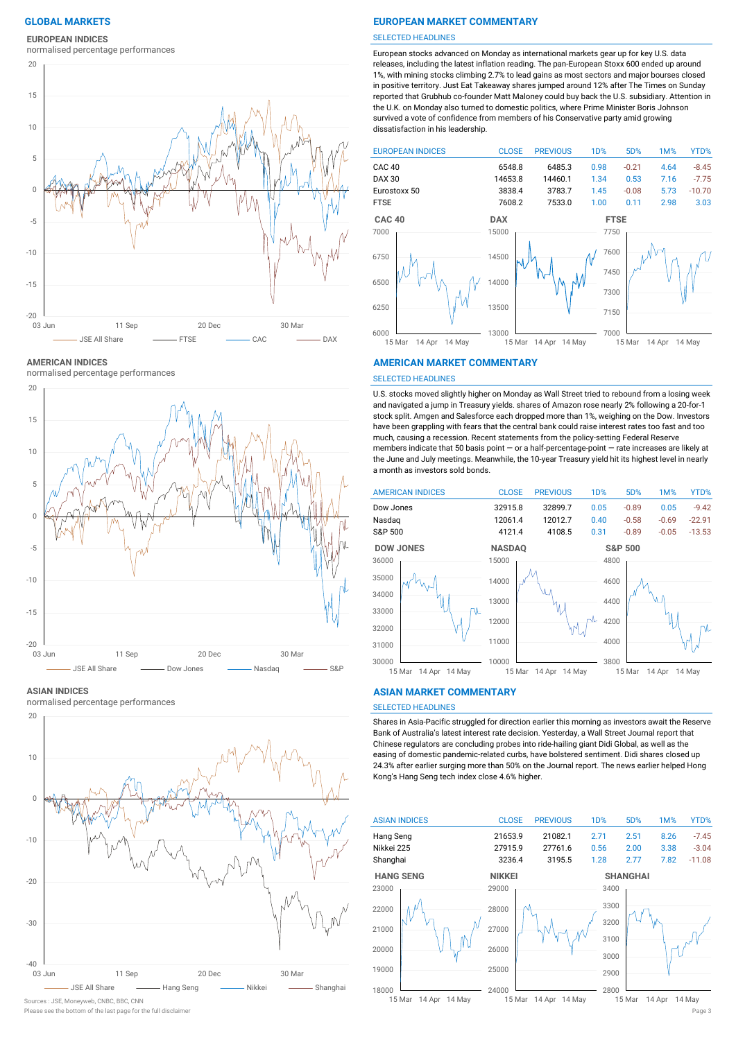## **EUROPEAN INDICES**

normalised percentage performances



**AMERICAN INDICES**

normalised percentage performances



**ASIAN INDICES**

normalised percentage performances



## Sources : JSE, Moneyweb, CNBC, BBC, CNN

## **GLOBAL MARKETS EUROPEAN MARKET COMMENTARY**

#### SELECTED HEADLINES

European stocks advanced on Monday as international markets gear up for key U.S. data releases, including the latest inflation reading. The pan-European Stoxx 600 ended up around 1%, with mining stocks climbing 2.7% to lead gains as most sectors and major bourses closed in positive territory. Just Eat Takeaway shares jumped around 12% after The Times on Sunday reported that Grubhub co-founder Matt Maloney could buy back the U.S. subsidiary. Attention in the U.K. on Monday also turned to domestic politics, where Prime Minister Boris Johnson survived a vote of confidence from members of his Conservative party amid growing dissatisfaction in his leadership.



#### **AMERICAN MARKET COMMENTARY**

#### SELECTED HEADLINES

U.S. stocks moved slightly higher on Monday as Wall Street tried to rebound from a losing week and navigated a jump in Treasury yields. shares of Amazon rose nearly 2% following a 20-for-1 stock split. Amgen and Salesforce each dropped more than 1%, weighing on the Dow. Investors have been grappling with fears that the central bank could raise interest rates too fast and too much, causing a recession. Recent statements from the policy-setting Federal Reserve members indicate that 50 basis point — or a half-percentage-point — rate increases are likely at the June and July meetings. Meanwhile, the 10-year Treasury yield hit its highest level in nearly a month as investors sold bonds.



#### **ASIAN MARKET COMMENTARY**

## SELECTED HEADLINES

Shares in Asia-Pacific struggled for direction earlier this morning as investors await the Reserve Bank of Australia's latest interest rate decision. Yesterday, a Wall Street Journal report that Chinese regulators are concluding probes into ride-hailing giant Didi Global, as well as the easing of domestic pandemic-related curbs, have bolstered sentiment. Didi shares closed up 24.3% after earlier surging more than 50% on the Journal report. The news earlier helped Hong Kong's Hang Seng tech index close 4.6% higher.



Please see the bottom of the last page for the full disclaimer Page 3